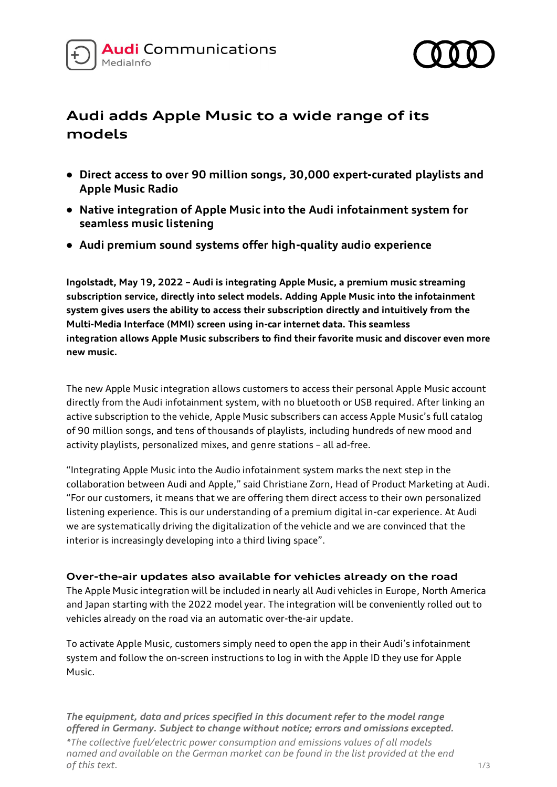



# **Audi adds Apple Music to a wide range of its models**

- **Direct access to over 90 million songs, 30,000 expert-curated playlists and Apple Music Radio**
- **Native integration of Apple Music into the Audi infotainment system for seamless music listening**
- **Audi premium sound systems offer high-quality audio experience**

**Ingolstadt, May 19, 2022 – Audi is integrating Apple Music, a premium music streaming subscription service, directly into select models. Adding Apple Music into the infotainment system gives users the ability to access their subscription directly and intuitively from the Multi-Media Interface (MMI) screen using in-car internet data. This seamless integration allows Apple Music subscribers to find their favorite music and discover even more new music.**

The new Apple Music integration allows customers to access their personal Apple Music account directly from the Audi infotainment system, with no bluetooth or USB required. After linking an active subscription to the vehicle, Apple Music subscribers can access Apple Music's full catalog of 90 million songs, and tens of thousands of playlists, including hundreds of new mood and activity playlists, personalized mixes, and genre stations – all ad-free.

"Integrating Apple Music into the Audio infotainment system marks the next step in the collaboration between Audi and Apple," said Christiane Zorn, Head of Product Marketing at Audi. "For our customers, it means that we are offering them direct access to their own personalized listening experience. This is our understanding of a premium digital in-car experience. At Audi we are systematically driving the digitalization of the vehicle and we are convinced that the interior is increasingly developing into a third living space".

**Over-the-air updates also available for vehicles already on the road** The Apple Music integration will be included in nearly all Audi vehicles in Europe, North America and Japan starting with the 2022 model year. The integration will be conveniently rolled out to vehicles already on the road via an automatic over-the-air update.

To activate Apple Music, customers simply need to open the app in their Audi's infotainment system and follow the on-screen instructions to log in with the Apple ID they use for Apple Music.

*The equipment, data and prices specified in this document refer to the model range offered in Germany. Subject to change without notice; errors and omissions excepted.*

*\*The collective fuel/electric power consumption and emissions values of all models named and available on the German market can be found in the list provided at the end of this text.* 1/3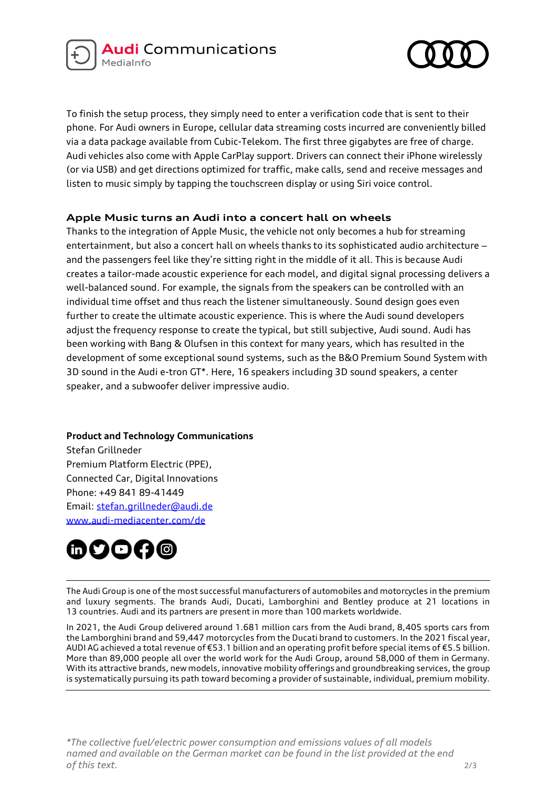



To finish the setup process, they simply need to enter a verification code that is sent to their phone. For Audi owners in Europe, cellular data streaming costs incurred are conveniently billed via a data package available from Cubic-Telekom. The first three gigabytes are free of charge. Audi vehicles also come with Apple CarPlay support. Drivers can connect their iPhone wirelessly (or via USB) and get directions optimized for traffic, make calls, send and receive messages and listen to music simply by tapping the touchscreen display or using Siri voice control.

## **Apple Music turns an Audi into a concert hall on wheels**

Thanks to the integration of Apple Music, the vehicle not only becomes a hub for streaming entertainment, but also a concert hall on wheels thanks to its sophisticated audio architecture and the passengers feel like they're sitting right in the middle of it all. This is because Audi creates a tailor-made acoustic experience for each model, and digital signal processing delivers a well-balanced sound. For example, the signals from the speakers can be controlled with an individual time offset and thus reach the listener simultaneously. Sound design goes even further to create the ultimate acoustic experience. This is where the Audi sound developers adjust the frequency response to create the typical, but still subjective, Audi sound. Audi has been working with Bang & Olufsen in this context for many years, which has resulted in the development of some exceptional sound systems, such as the B&O Premium Sound System with 3D sound in the Audi e-tron GT\*. Here, 16 speakers including 3D sound speakers, a center speaker, and a subwoofer deliver impressive audio.

## **Product and Technology Communications**

Stefan Grillneder Premium Platform Electric (PPE), Connected Car, Digital Innovations Phone: +49 841 89-41449 Email: [stefan.grillneder@audi.de](mailto:stefan.grillneder@audi.de) www.audi-mediacenter.com/de



The Audi Group is one of the most successful manufacturers of automobiles and motorcycles in the premium and luxury segments. The brands Audi, Ducati, Lamborghini and Bentley produce at 21 locations in 13 countries. Audi and its partners are present in more than 100 markets worldwide.

In 2021, the Audi Group delivered around 1.681 million cars from the Audi brand, 8,405 sports cars from the Lamborghini brand and 59,447 motorcycles from the Ducati brand to customers. In the 2021 fiscal year, AUDI AG achieved a total revenue of €53.1 billion and an operating profit before special items of €5.5 billion. More than 89,000 people all over the world work for the Audi Group, around 58,000 of them in Germany. With its attractive brands, new models, innovative mobility offerings and groundbreaking services, the group is systematically pursuing its path toward becoming a provider of sustainable, individual, premium mobility.

*\*The collective fuel/electric power consumption and emissions values of all models named and available on the German market can be found in the list provided at the end of this text.* 2/3